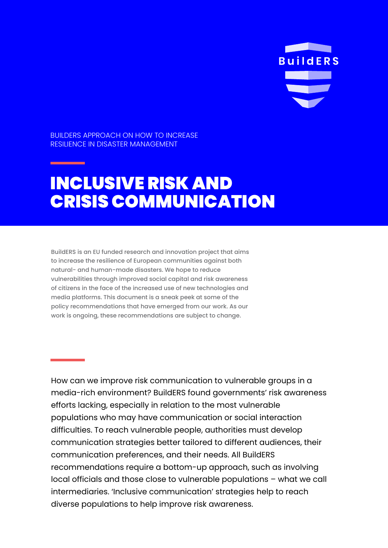**BuildERS** 

BUILDERS APPROACH ON HOW TO INCREASE RESILIENCE IN DISASTER MANAGEMENT

# INCLUSIVE RISK AND CRISIS COMMUNICATION

BuildERS is an EU funded research and innovation project that aims to increase the resilience of European communities against both natural- and human-made disasters. We hope to reduce vulnerabilities through improved social capital and risk awareness of citizens in the face of the increased use of new technologies and media platforms. This document is a sneak peek at some of the policy recommendations that have emerged from our work. As our work is ongoing, these recommendations are subject to change.

How can we improve risk communication to vulnerable groups in a media-rich environment? BuildERS found governments' risk awareness efforts lacking, especially in relation to the most vulnerable populations who may have communication or social interaction difficulties. To reach vulnerable people, authorities must develop communication strategies better tailored to different audiences, their communication preferences, and their needs. All BuildERS recommendations require a bottom-up approach, such as involving local officials and those close to vulnerable populations – what we call intermediaries. 'Inclusive communication' strategies help to reach diverse populations to help improve risk awareness.